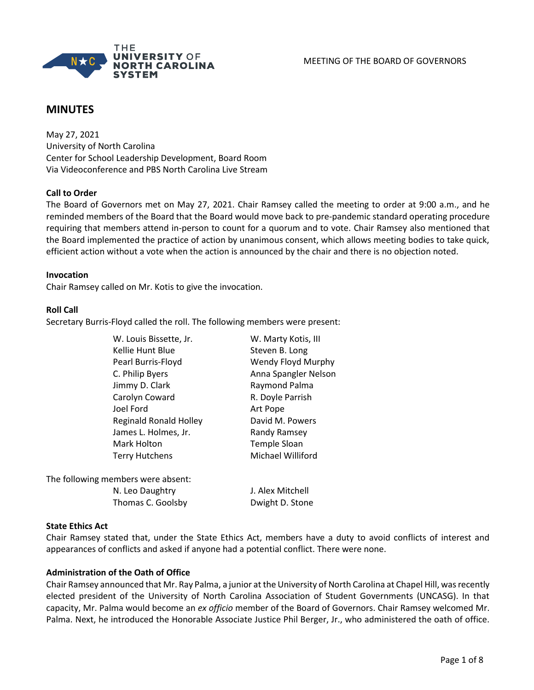

# **MINUTES**

May 27, 2021 University of North Carolina Center for School Leadership Development, Board Room Via Videoconference and PBS North Carolina Live Stream

### **Call to Order**

The Board of Governors met on May 27, 2021. Chair Ramsey called the meeting to order at 9:00 a.m., and he reminded members of the Board that the Board would move back to pre-pandemic standard operating procedure requiring that members attend in-person to count for a quorum and to vote. Chair Ramsey also mentioned that the Board implemented the practice of action by unanimous consent, which allows meeting bodies to take quick, efficient action without a vote when the action is announced by the chair and there is no objection noted.

#### **Invocation**

Chair Ramsey called on Mr. Kotis to give the invocation.

#### **Roll Call**

Secretary Burris-Floyd called the roll. The following members were present:

| W. Louis Bissette, Jr.             | W. Marty Kotis, III  |
|------------------------------------|----------------------|
| Kellie Hunt Blue                   | Steven B. Long       |
| Pearl Burris-Floyd                 | Wendy Floyd Murphy   |
| C. Philip Byers                    | Anna Spangler Nelson |
| Jimmy D. Clark                     | Raymond Palma        |
| Carolyn Coward                     | R. Doyle Parrish     |
| Joel Ford                          | Art Pope             |
| <b>Reginald Ronald Holley</b>      | David M. Powers      |
| James L. Holmes, Jr.               | Randy Ramsey         |
| Mark Holton                        | Temple Sloan         |
| <b>Terry Hutchens</b>              | Michael Williford    |
| The following members were absent: |                      |

N. Leo Daughtry J. Alex Mitchell Thomas C. Goolsby Dwight D. Stone

### **State Ethics Act**

Chair Ramsey stated that, under the State Ethics Act, members have a duty to avoid conflicts of interest and appearances of conflicts and asked if anyone had a potential conflict. There were none.

### **Administration of the Oath of Office**

Chair Ramsey announced that Mr. Ray Palma, a junior at the University of North Carolina at Chapel Hill, was recently elected president of the University of North Carolina Association of Student Governments (UNCASG). In that capacity, Mr. Palma would become an *ex officio* member of the Board of Governors. Chair Ramsey welcomed Mr. Palma. Next, he introduced the Honorable Associate Justice Phil Berger, Jr., who administered the oath of office.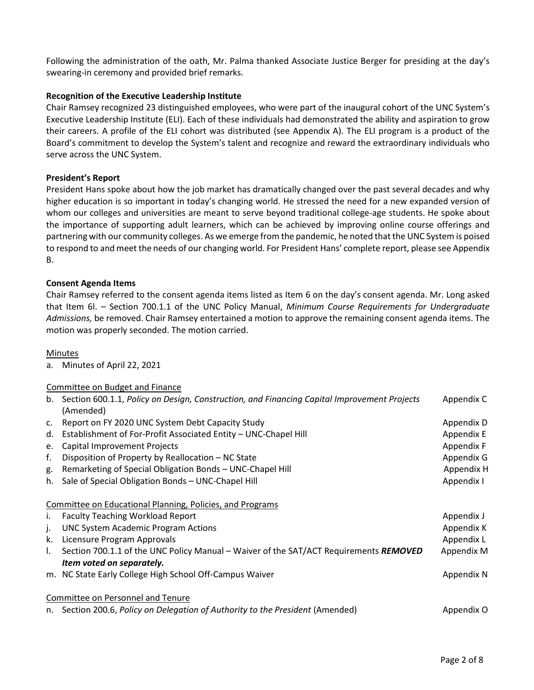Following the administration of the oath, Mr. Palma thanked Associate Justice Berger for presiding at the day's swearing-in ceremony and provided brief remarks.

# **Recognition of the Executive Leadership Institute**

Chair Ramsey recognized 23 distinguished employees, who were part of the inaugural cohort of the UNC System's Executive Leadership Institute (ELI). Each of these individuals had demonstrated the ability and aspiration to grow their careers. A profile of the ELI cohort was distributed (see Appendix A). The ELI program is a product of the Board's commitment to develop the System's talent and recognize and reward the extraordinary individuals who serve across the UNC System.

### **President's Report**

President Hans spoke about how the job market has dramatically changed over the past several decades and why higher education is so important in today's changing world. He stressed the need for a new expanded version of whom our colleges and universities are meant to serve beyond traditional college-age students. He spoke about the importance of supporting adult learners, which can be achieved by improving online course offerings and partnering with our community colleges. As we emerge from the pandemic, he noted that the UNC System is poised to respond to and meet the needs of our changing world. For President Hans' complete report, please see Appendix B.

# **Consent Agenda Items**

Chair Ramsey referred to the consent agenda items listed as Item 6 on the day's consent agenda. Mr. Long asked that Item 6l. – Section 700.1.1 of the UNC Policy Manual, *Minimum Course Requirements for Undergraduate Admissions,* be removed. Chair Ramsey entertained a motion to approve the remaining consent agenda items. The motion was properly seconded. The motion carried.

### Minutes

a. Minutes of April 22, 2021

# Committee on Budget and Finance

|             | b. Section 600.1.1, Policy on Design, Construction, and Financing Capital Improvement Projects<br>(Amended) | Appendix C |
|-------------|-------------------------------------------------------------------------------------------------------------|------------|
| $C_{\star}$ | Report on FY 2020 UNC System Debt Capacity Study                                                            | Appendix D |
| d.          | Establishment of For-Profit Associated Entity - UNC-Chapel Hill                                             | Appendix E |
| е.          | Capital Improvement Projects                                                                                | Appendix F |
| f.          | Disposition of Property by Reallocation - NC State                                                          | Appendix G |
| g.          | Remarketing of Special Obligation Bonds - UNC-Chapel Hill                                                   | Appendix H |
| h.          | Sale of Special Obligation Bonds - UNC-Chapel Hill                                                          | Appendix I |
|             | Committee on Educational Planning, Policies, and Programs                                                   |            |
| i.          | <b>Faculty Teaching Workload Report</b>                                                                     | Appendix J |
| j.          | <b>UNC System Academic Program Actions</b>                                                                  | Appendix K |
| k.          | Licensure Program Approvals                                                                                 | Appendix L |
| I.          | Section 700.1.1 of the UNC Policy Manual - Waiver of the SAT/ACT Requirements REMOVED                       | Appendix M |
|             | Item voted on separately.                                                                                   |            |
|             | m. NC State Early College High School Off-Campus Waiver                                                     | Appendix N |
|             | Committee on Personnel and Tenure                                                                           |            |
| n.          | Section 200.6, Policy on Delegation of Authority to the President (Amended)                                 | Appendix O |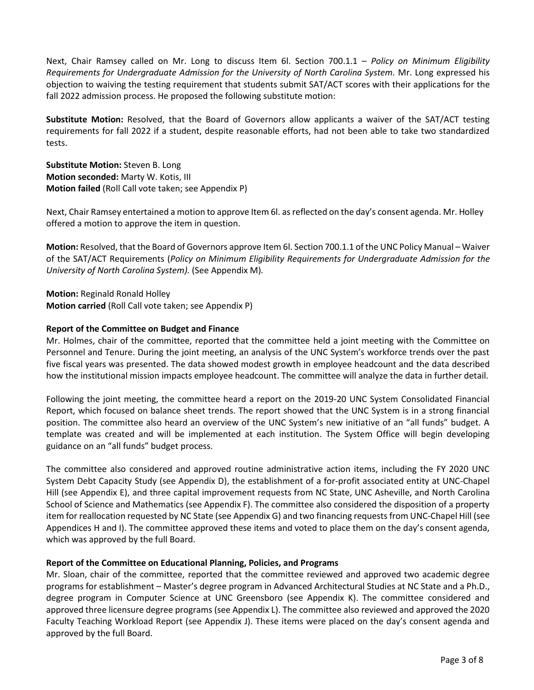Next, Chair Ramsey called on Mr. Long to discuss Item 6l. Section 700.1.1 – *Policy on Minimum Eligibility Requirements for Undergraduate Admission for the University of North Carolina System.* Mr. Long expressed his objection to waiving the testing requirement that students submit SAT/ACT scores with their applications for the fall 2022 admission process. He proposed the following substitute motion:

**Substitute Motion:** Resolved, that the Board of Governors allow applicants a waiver of the SAT/ACT testing requirements for fall 2022 if a student, despite reasonable efforts, had not been able to take two standardized tests.

**Substitute Motion:** Steven B. Long **Motion seconded:** Marty W. Kotis, III **Motion failed** (Roll Call vote taken; see Appendix P)

Next, Chair Ramsey entertained a motion to approve Item 6l. as reflected on the day's consent agenda. Mr. Holley offered a motion to approve the item in question.

**Motion:** Resolved, that the Board of Governors approve Item 6l. Section 700.1.1 of the UNC Policy Manual – Waiver of the SAT/ACT Requirements (*Policy on Minimum Eligibility Requirements for Undergraduate Admission for the University of North Carolina System).* (See Appendix M)*.*

**Motion:** Reginald Ronald Holley **Motion carried** (Roll Call vote taken; see Appendix P)

### **Report of the Committee on Budget and Finance**

Mr. Holmes, chair of the committee, reported that the committee held a joint meeting with the Committee on Personnel and Tenure. During the joint meeting, an analysis of the UNC System's workforce trends over the past five fiscal years was presented. The data showed modest growth in employee headcount and the data described how the institutional mission impacts employee headcount. The committee will analyze the data in further detail.

Following the joint meeting, the committee heard a report on the 2019-20 UNC System Consolidated Financial Report, which focused on balance sheet trends. The report showed that the UNC System is in a strong financial position. The committee also heard an overview of the UNC System's new initiative of an "all funds" budget. A template was created and will be implemented at each institution. The System Office will begin developing guidance on an "all funds" budget process.

The committee also considered and approved routine administrative action items, including the FY 2020 UNC System Debt Capacity Study (see Appendix D), the establishment of a for-profit associated entity at UNC-Chapel Hill (see Appendix E), and three capital improvement requests from NC State, UNC Asheville, and North Carolina School of Science and Mathematics (see Appendix F). The committee also considered the disposition of a property item for reallocation requested by NC State (see Appendix G) and two financing requests from UNC-Chapel Hill (see Appendices H and I). The committee approved these items and voted to place them on the day's consent agenda, which was approved by the full Board.

### **Report of the Committee on Educational Planning, Policies, and Programs**

Mr. Sloan, chair of the committee, reported that the committee reviewed and approved two academic degree programs for establishment – Master's degree program in Advanced Architectural Studies at NC State and a Ph.D., degree program in Computer Science at UNC Greensboro (see Appendix K). The committee considered and approved three licensure degree programs (see Appendix L). The committee also reviewed and approved the 2020 Faculty Teaching Workload Report (see Appendix J). These items were placed on the day's consent agenda and approved by the full Board.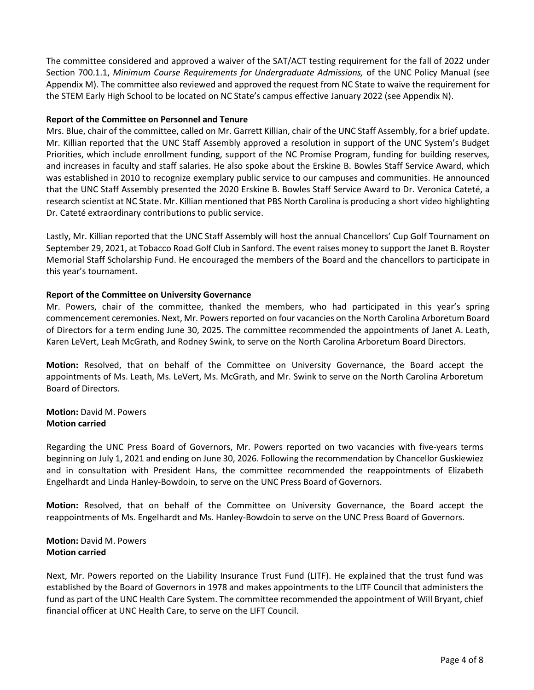The committee considered and approved a waiver of the SAT/ACT testing requirement for the fall of 2022 under Section 700.1.1, *Minimum Course Requirements for Undergraduate Admissions,* of the UNC Policy Manual (see Appendix M). The committee also reviewed and approved the request from NC State to waive the requirement for the STEM Early High School to be located on NC State's campus effective January 2022 (see Appendix N).

### **Report of the Committee on Personnel and Tenure**

Mrs. Blue, chair of the committee, called on Mr. Garrett Killian, chair of the UNC Staff Assembly, for a brief update. Mr. Killian reported that the UNC Staff Assembly approved a resolution in support of the UNC System's Budget Priorities, which include enrollment funding, support of the NC Promise Program, funding for building reserves, and increases in faculty and staff salaries. He also spoke about the Erskine B. Bowles Staff Service Award, which was established in 2010 to recognize exemplary public service to our campuses and communities. He announced that the UNC Staff Assembly presented the 2020 Erskine B. Bowles Staff Service Award to Dr. Veronica Cateté, a research scientist at NC State. Mr. Killian mentioned that PBS North Carolina is producing a short video highlighting Dr. Cateté extraordinary contributions to public service.

Lastly, Mr. Killian reported that the UNC Staff Assembly will host the annual Chancellors' Cup Golf Tournament on September 29, 2021, at Tobacco Road Golf Club in Sanford. The event raises money to support the Janet B. Royster Memorial Staff Scholarship Fund. He encouraged the members of the Board and the chancellors to participate in this year's tournament.

### **Report of the Committee on University Governance**

Mr. Powers, chair of the committee, thanked the members, who had participated in this year's spring commencement ceremonies. Next, Mr. Powers reported on four vacancies on the North Carolina Arboretum Board of Directors for a term ending June 30, 2025. The committee recommended the appointments of Janet A. Leath, Karen LeVert, Leah McGrath, and Rodney Swink, to serve on the North Carolina Arboretum Board Directors.

**Motion:** Resolved, that on behalf of the Committee on University Governance, the Board accept the appointments of Ms. Leath, Ms. LeVert, Ms. McGrath, and Mr. Swink to serve on the North Carolina Arboretum Board of Directors.

**Motion:** David M. Powers **Motion carried**

Regarding the UNC Press Board of Governors, Mr. Powers reported on two vacancies with five-years terms beginning on July 1, 2021 and ending on June 30, 2026. Following the recommendation by Chancellor Guskiewiez and in consultation with President Hans, the committee recommended the reappointments of Elizabeth Engelhardt and Linda Hanley-Bowdoin, to serve on the UNC Press Board of Governors.

**Motion:** Resolved, that on behalf of the Committee on University Governance, the Board accept the reappointments of Ms. Engelhardt and Ms. Hanley-Bowdoin to serve on the UNC Press Board of Governors.

# **Motion:** David M. Powers **Motion carried**

Next, Mr. Powers reported on the Liability Insurance Trust Fund (LITF). He explained that the trust fund was established by the Board of Governors in 1978 and makes appointments to the LITF Council that administers the fund as part of the UNC Health Care System. The committee recommended the appointment of Will Bryant, chief financial officer at UNC Health Care, to serve on the LIFT Council.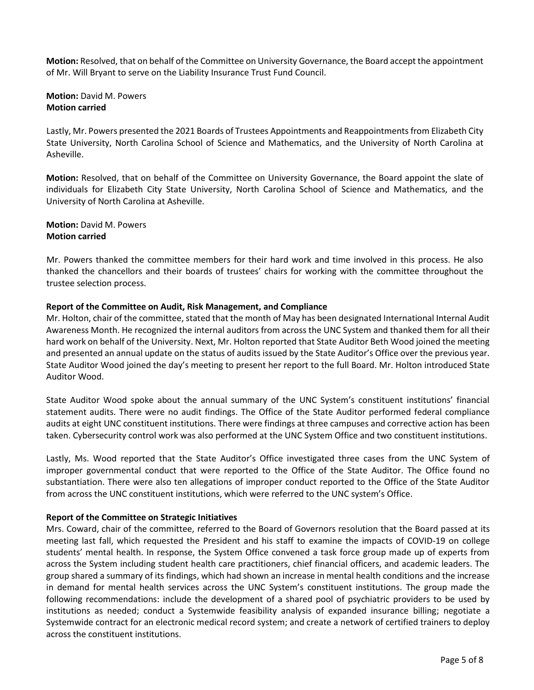**Motion:** Resolved, that on behalf of the Committee on University Governance, the Board accept the appointment of Mr. Will Bryant to serve on the Liability Insurance Trust Fund Council.

**Motion:** David M. Powers **Motion carried**

Lastly, Mr. Powers presented the 2021 Boards of Trustees Appointments and Reappointments from Elizabeth City State University, North Carolina School of Science and Mathematics, and the University of North Carolina at Asheville.

**Motion:** Resolved, that on behalf of the Committee on University Governance, the Board appoint the slate of individuals for Elizabeth City State University, North Carolina School of Science and Mathematics, and the University of North Carolina at Asheville.

**Motion:** David M. Powers **Motion carried**

Mr. Powers thanked the committee members for their hard work and time involved in this process. He also thanked the chancellors and their boards of trustees' chairs for working with the committee throughout the trustee selection process.

### **Report of the Committee on Audit, Risk Management, and Compliance**

Mr. Holton, chair of the committee, stated that the month of May has been designated International Internal Audit Awareness Month. He recognized the internal auditors from across the UNC System and thanked them for all their hard work on behalf of the University. Next, Mr. Holton reported that State Auditor Beth Wood joined the meeting and presented an annual update on the status of audits issued by the State Auditor's Office over the previous year. State Auditor Wood joined the day's meeting to present her report to the full Board. Mr. Holton introduced State Auditor Wood.

State Auditor Wood spoke about the annual summary of the UNC System's constituent institutions' financial statement audits. There were no audit findings. The Office of the State Auditor performed federal compliance audits at eight UNC constituent institutions. There were findings at three campuses and corrective action has been taken. Cybersecurity control work was also performed at the UNC System Office and two constituent institutions.

Lastly, Ms. Wood reported that the State Auditor's Office investigated three cases from the UNC System of improper governmental conduct that were reported to the Office of the State Auditor. The Office found no substantiation. There were also ten allegations of improper conduct reported to the Office of the State Auditor from across the UNC constituent institutions, which were referred to the UNC system's Office.

### **Report of the Committee on Strategic Initiatives**

Mrs. Coward, chair of the committee, referred to the Board of Governors resolution that the Board passed at its meeting last fall, which requested the President and his staff to examine the impacts of COVID-19 on college students' mental health. In response, the System Office convened a task force group made up of experts from across the System including student health care practitioners, chief financial officers, and academic leaders. The group shared a summary of its findings, which had shown an increase in mental health conditions and the increase in demand for mental health services across the UNC System's constituent institutions. The group made the following recommendations: include the development of a shared pool of psychiatric providers to be used by institutions as needed; conduct a Systemwide feasibility analysis of expanded insurance billing; negotiate a Systemwide contract for an electronic medical record system; and create a network of certified trainers to deploy across the constituent institutions.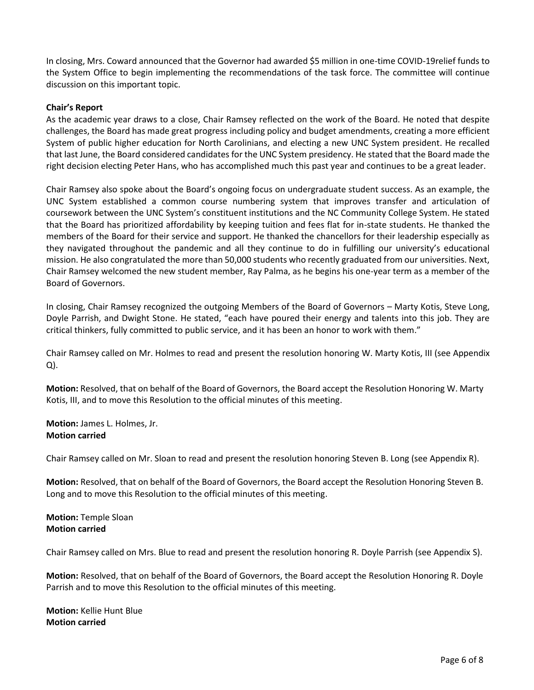In closing, Mrs. Coward announced that the Governor had awarded \$5 million in one-time COVID-19relief funds to the System Office to begin implementing the recommendations of the task force. The committee will continue discussion on this important topic.

#### **Chair's Report**

As the academic year draws to a close, Chair Ramsey reflected on the work of the Board. He noted that despite challenges, the Board has made great progress including policy and budget amendments, creating a more efficient System of public higher education for North Carolinians, and electing a new UNC System president. He recalled that last June, the Board considered candidates for the UNC System presidency. He stated that the Board made the right decision electing Peter Hans, who has accomplished much this past year and continues to be a great leader.

Chair Ramsey also spoke about the Board's ongoing focus on undergraduate student success. As an example, the UNC System established a common course numbering system that improves transfer and articulation of coursework between the UNC System's constituent institutions and the NC Community College System. He stated that the Board has prioritized affordability by keeping tuition and fees flat for in-state students. He thanked the members of the Board for their service and support. He thanked the chancellors for their leadership especially as they navigated throughout the pandemic and all they continue to do in fulfilling our university's educational mission. He also congratulated the more than 50,000 students who recently graduated from our universities. Next, Chair Ramsey welcomed the new student member, Ray Palma, as he begins his one-year term as a member of the Board of Governors.

In closing, Chair Ramsey recognized the outgoing Members of the Board of Governors – Marty Kotis, Steve Long, Doyle Parrish, and Dwight Stone. He stated, "each have poured their energy and talents into this job. They are critical thinkers, fully committed to public service, and it has been an honor to work with them."

Chair Ramsey called on Mr. Holmes to read and present the resolution honoring W. Marty Kotis, III (see Appendix Q).

**Motion:** Resolved, that on behalf of the Board of Governors, the Board accept the Resolution Honoring W. Marty Kotis, III, and to move this Resolution to the official minutes of this meeting.

**Motion:** James L. Holmes, Jr. **Motion carried**

Chair Ramsey called on Mr. Sloan to read and present the resolution honoring Steven B. Long (see Appendix R).

**Motion:** Resolved, that on behalf of the Board of Governors, the Board accept the Resolution Honoring Steven B. Long and to move this Resolution to the official minutes of this meeting.

**Motion:** Temple Sloan **Motion carried**

Chair Ramsey called on Mrs. Blue to read and present the resolution honoring R. Doyle Parrish (see Appendix S).

**Motion:** Resolved, that on behalf of the Board of Governors, the Board accept the Resolution Honoring R. Doyle Parrish and to move this Resolution to the official minutes of this meeting.

**Motion:** Kellie Hunt Blue **Motion carried**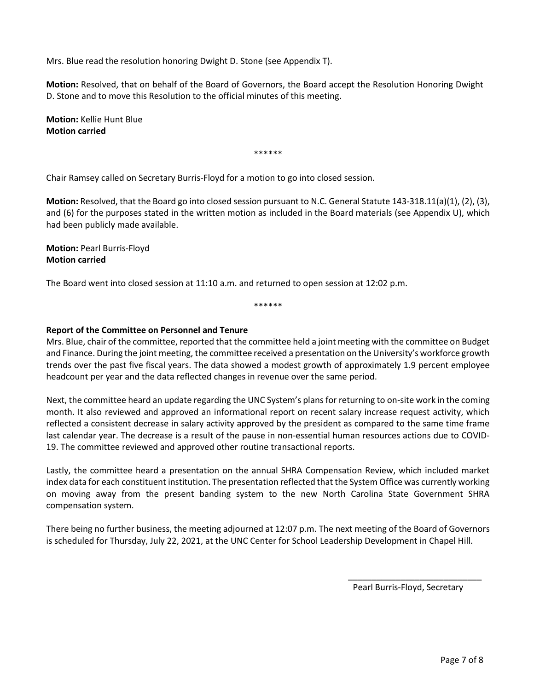Mrs. Blue read the resolution honoring Dwight D. Stone (see Appendix T).

**Motion:** Resolved, that on behalf of the Board of Governors, the Board accept the Resolution Honoring Dwight D. Stone and to move this Resolution to the official minutes of this meeting.

**Motion:** Kellie Hunt Blue **Motion carried**

\*\*\*\*\*\*

Chair Ramsey called on Secretary Burris-Floyd for a motion to go into closed session.

**Motion:** Resolved, that the Board go into closed session pursuant to N.C. General Statute 143-318.11(a)(1), (2), (3), and (6) for the purposes stated in the written motion as included in the Board materials (see Appendix U), which had been publicly made available.

**Motion:** Pearl Burris-Floyd **Motion carried**

The Board went into closed session at 11:10 a.m. and returned to open session at 12:02 p.m.

\*\*\*\*\*\*

#### **Report of the Committee on Personnel and Tenure**

Mrs. Blue, chair of the committee, reported that the committee held a joint meeting with the committee on Budget and Finance. During the joint meeting, the committee received a presentation on the University's workforce growth trends over the past five fiscal years. The data showed a modest growth of approximately 1.9 percent employee headcount per year and the data reflected changes in revenue over the same period.

Next, the committee heard an update regarding the UNC System's plans for returning to on-site work in the coming month. It also reviewed and approved an informational report on recent salary increase request activity, which reflected a consistent decrease in salary activity approved by the president as compared to the same time frame last calendar year. The decrease is a result of the pause in non-essential human resources actions due to COVID-19. The committee reviewed and approved other routine transactional reports.

Lastly, the committee heard a presentation on the annual SHRA Compensation Review, which included market index data for each constituent institution. The presentation reflected that the System Office was currently working on moving away from the present banding system to the new North Carolina State Government SHRA compensation system.

There being no further business, the meeting adjourned at 12:07 p.m. The next meeting of the Board of Governors is scheduled for Thursday, July 22, 2021, at the UNC Center for School Leadership Development in Chapel Hill.

Pearl Burris-Floyd, Secretary

 $\frac{1}{\sqrt{2\pi}+\sqrt{2\pi}}\left[\frac{1}{\sqrt{2\pi}}\frac{1}{\sqrt{2\pi}}\frac{1}{\sqrt{2\pi}}\frac{1}{\sqrt{2\pi}}\frac{1}{\sqrt{2\pi}}\frac{1}{\sqrt{2\pi}}\frac{1}{\sqrt{2\pi}}\frac{1}{\sqrt{2\pi}}\frac{1}{\sqrt{2\pi}}\frac{1}{\sqrt{2\pi}}\frac{1}{\sqrt{2\pi}}\frac{1}{\sqrt{2\pi}}\frac{1}{\sqrt{2\pi}}\frac{1}{\sqrt{2\pi}}\frac{1}{\sqrt{2\pi}}\frac{1}{\sqrt{2\pi}}\frac{1}{\sqrt$